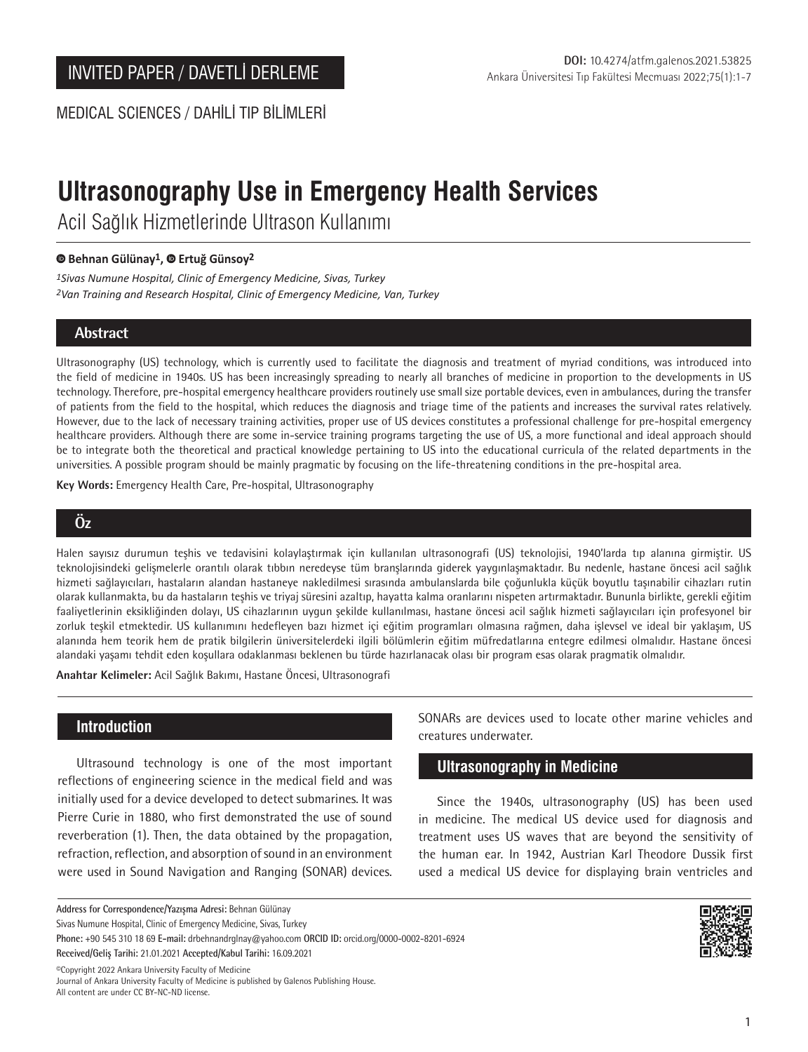MEDICAL SCIENCES / DAHİLİ TIP BİLİMLERİ

# **Ultrasonography Use in Emergency Health Services**

Acil Sağlık Hizmetlerinde Ultrason Kullanımı

#### **Behnan Gülünay1, Ertuğ Günsoy2**

*1Sivas Numune Hospital, Clinic of Emergency Medicine, Sivas, Turkey 2Van Training and Research Hospital, Clinic of Emergency Medicine, Van, Turkey*

# **Abstract**

Ultrasonography (US) technology, which is currently used to facilitate the diagnosis and treatment of myriad conditions, was introduced into the field of medicine in 1940s. US has been increasingly spreading to nearly all branches of medicine in proportion to the developments in US technology. Therefore, pre-hospital emergency healthcare providers routinely use small size portable devices, even in ambulances, during the transfer of patients from the field to the hospital, which reduces the diagnosis and triage time of the patients and increases the survival rates relatively. However, due to the lack of necessary training activities, proper use of US devices constitutes a professional challenge for pre-hospital emergency healthcare providers. Although there are some in-service training programs targeting the use of US, a more functional and ideal approach should be to integrate both the theoretical and practical knowledge pertaining to US into the educational curricula of the related departments in the universities. A possible program should be mainly pragmatic by focusing on the life-threatening conditions in the pre-hospital area.

**Key Words:** Emergency Health Care, Pre-hospital, Ultrasonography

# **Öz**

Halen sayısız durumun teşhis ve tedavisini kolaylaştırmak için kullanılan ultrasonografi (US) teknolojisi, 1940'larda tıp alanına girmiştir. US teknolojisindeki gelişmelerle orantılı olarak tıbbın neredeyse tüm branşlarında giderek yaygınlaşmaktadır. Bu nedenle, hastane öncesi acil sağlık hizmeti sağlayıcıları, hastaların alandan hastaneye nakledilmesi sırasında ambulanslarda bile çoğunlukla küçük boyutlu taşınabilir cihazları rutin olarak kullanmakta, bu da hastaların teşhis ve triyaj süresini azaltıp, hayatta kalma oranlarını nispeten artırmaktadır. Bununla birlikte, gerekli eğitim faaliyetlerinin eksikliğinden dolayı, US cihazlarının uygun şekilde kullanılması, hastane öncesi acil sağlık hizmeti sağlayıcıları için profesyonel bir zorluk teşkil etmektedir. US kullanımını hedefleyen bazı hizmet içi eğitim programları olmasına rağmen, daha işlevsel ve ideal bir yaklaşım, US alanında hem teorik hem de pratik bilgilerin üniversitelerdeki ilgili bölümlerin eğitim müfredatlarına entegre edilmesi olmalıdır. Hastane öncesi alandaki yaşamı tehdit eden koşullara odaklanması beklenen bu türde hazırlanacak olası bir program esas olarak pragmatik olmalıdır.

**Anahtar Kelimeler:** Acil Sağlık Bakımı, Hastane Öncesi, Ultrasonografi

## **Introduction**

Ultrasound technology is one of the most important reflections of engineering science in the medical field and was initially used for a device developed to detect submarines. It was Pierre Curie in 1880, who first demonstrated the use of sound reverberation (1). Then, the data obtained by the propagation, refraction, reflection, and absorption of sound in an environment were used in Sound Navigation and Ranging (SONAR) devices.

**Address for Correspondence/Yazışma Adresi:** Behnan Gülünay

Sivas Numune Hospital, Clinic of Emergency Medicine, Sivas, Turkey

**Received/Geliş Tarihi:** 21.01.2021 **Accepted/Kabul Tarihi:** 16.09.2021

©️Copyright 2022 Ankara University Faculty of Medicine Journal of Ankara University Faculty of Medicine is published by Galenos Publishing House. All content are under CC BY-NC-ND license.

SONARs are devices used to locate other marine vehicles and creatures underwater.

## **Ultrasonography in Medicine**

Since the 1940s, ultrasonography (US) has been used in medicine. The medical US device used for diagnosis and treatment uses US waves that are beyond the sensitivity of the human ear. In 1942, Austrian Karl Theodore Dussik first used a medical US device for displaying brain ventricles and



**Phone:** +90 545 310 18 69 **E-mail:** drbehnandrglnay@yahoo.com **ORCID ID:** orcid.org/0000-0002-8201-6924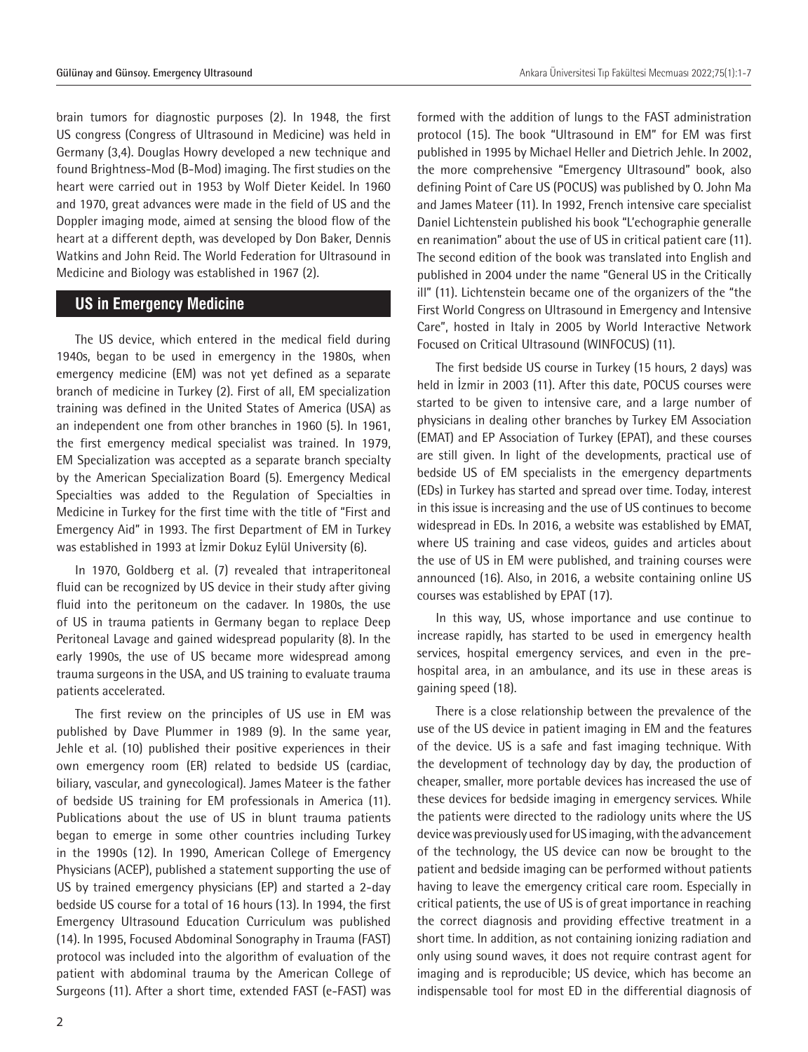brain tumors for diagnostic purposes (2). In 1948, the first US congress (Congress of Ultrasound in Medicine) was held in Germany (3,4). Douglas Howry developed a new technique and found Brightness-Mod (B-Mod) imaging. The first studies on the heart were carried out in 1953 by Wolf Dieter Keidel. In 1960 and 1970, great advances were made in the field of US and the Doppler imaging mode, aimed at sensing the blood flow of the heart at a different depth, was developed by Don Baker, Dennis Watkins and John Reid. The World Federation for Ultrasound in Medicine and Biology was established in 1967 (2).

#### **US in Emergency Medicine**

The US device, which entered in the medical field during 1940s, began to be used in emergency in the 1980s, when emergency medicine (EM) was not yet defined as a separate branch of medicine in Turkey (2). First of all, EM specialization training was defined in the United States of America (USA) as an independent one from other branches in 1960 (5). In 1961, the first emergency medical specialist was trained. In 1979, EM Specialization was accepted as a separate branch specialty by the American Specialization Board (5). Emergency Medical Specialties was added to the Regulation of Specialties in Medicine in Turkey for the first time with the title of "First and Emergency Aid" in 1993. The first Department of EM in Turkey was established in 1993 at İzmir Dokuz Eylül University (6).

In 1970, Goldberg et al. (7) revealed that intraperitoneal fluid can be recognized by US device in their study after giving fluid into the peritoneum on the cadaver. In 1980s, the use of US in trauma patients in Germany began to replace Deep Peritoneal Lavage and gained widespread popularity (8). In the early 1990s, the use of US became more widespread among trauma surgeons in the USA, and US training to evaluate trauma patients accelerated.

The first review on the principles of US use in EM was published by Dave Plummer in 1989 (9). In the same year, Jehle et al. (10) published their positive experiences in their own emergency room (ER) related to bedside US (cardiac, biliary, vascular, and gynecological). James Mateer is the father of bedside US training for EM professionals in America (11). Publications about the use of US in blunt trauma patients began to emerge in some other countries including Turkey in the 1990s (12). In 1990, American College of Emergency Physicians (ACEP), published a statement supporting the use of US by trained emergency physicians (EP) and started a 2-day bedside US course for a total of 16 hours (13). In 1994, the first Emergency Ultrasound Education Curriculum was published (14). In 1995, Focused Abdominal Sonography in Trauma (FAST) protocol was included into the algorithm of evaluation of the patient with abdominal trauma by the American College of Surgeons (11). After a short time, extended FAST (e-FAST) was

formed with the addition of lungs to the FAST administration protocol (15). The book "Ultrasound in EM" for EM was first published in 1995 by Michael Heller and Dietrich Jehle. In 2002, the more comprehensive "Emergency Ultrasound" book, also defining Point of Care US (POCUS) was published by O. John Ma and James Mateer (11). In 1992, French intensive care specialist Daniel Lichtenstein published his book "L'echographie generalle en reanimation" about the use of US in critical patient care (11). The second edition of the book was translated into English and published in 2004 under the name "General US in the Critically ill" (11). Lichtenstein became one of the organizers of the "the First World Congress on Ultrasound in Emergency and Intensive Care", hosted in Italy in 2005 by World Interactive Network Focused on Critical Ultrasound (WINFOCUS) (11).

The first bedside US course in Turkey (15 hours, 2 days) was held in İzmir in 2003 (11). After this date, POCUS courses were started to be given to intensive care, and a large number of physicians in dealing other branches by Turkey EM Association (EMAT) and EP Association of Turkey (EPAT), and these courses are still given. In light of the developments, practical use of bedside US of EM specialists in the emergency departments (EDs) in Turkey has started and spread over time. Today, interest in this issue is increasing and the use of US continues to become widespread in EDs. In 2016, a website was established by EMAT, where US training and case videos, guides and articles about the use of US in EM were published, and training courses were announced (16). Also, in 2016, a website containing online US courses was established by EPAT (17).

In this way, US, whose importance and use continue to increase rapidly, has started to be used in emergency health services, hospital emergency services, and even in the prehospital area, in an ambulance, and its use in these areas is gaining speed (18).

There is a close relationship between the prevalence of the use of the US device in patient imaging in EM and the features of the device. US is a safe and fast imaging technique. With the development of technology day by day, the production of cheaper, smaller, more portable devices has increased the use of these devices for bedside imaging in emergency services. While the patients were directed to the radiology units where the US device was previously used for US imaging, with the advancement of the technology, the US device can now be brought to the patient and bedside imaging can be performed without patients having to leave the emergency critical care room. Especially in critical patients, the use of US is of great importance in reaching the correct diagnosis and providing effective treatment in a short time. In addition, as not containing ionizing radiation and only using sound waves, it does not require contrast agent for imaging and is reproducible; US device, which has become an indispensable tool for most ED in the differential diagnosis of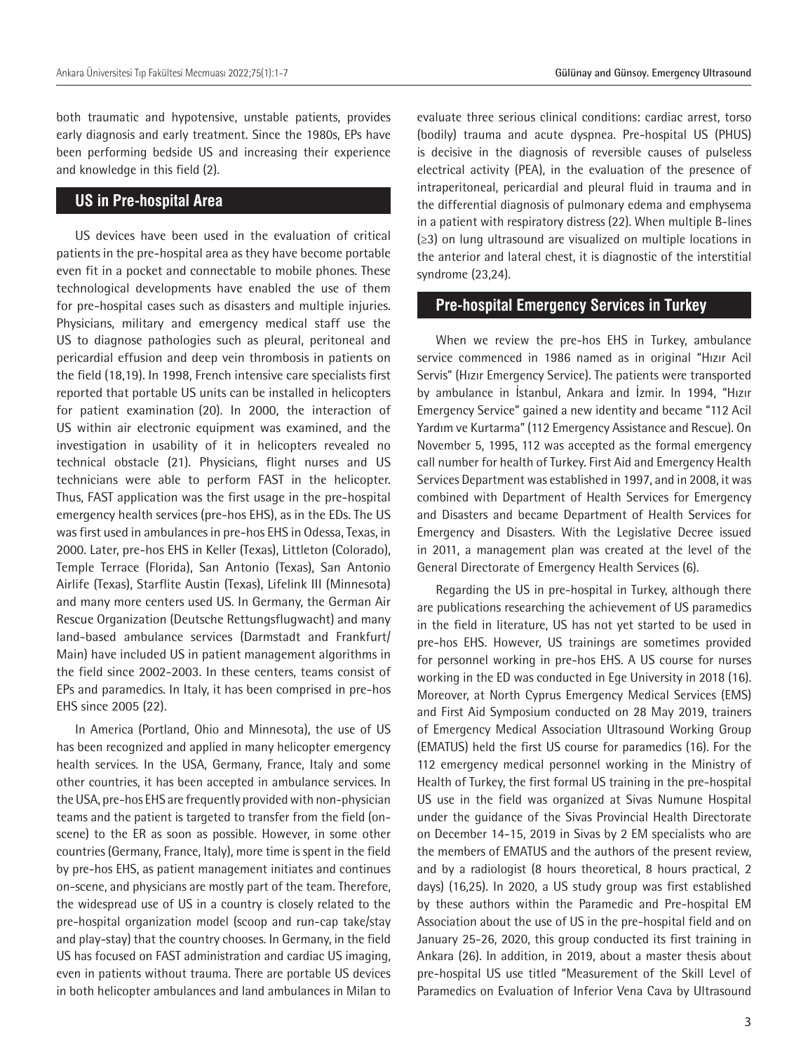both traumatic and hypotensive, unstable patients, provides early diagnosis and early treatment. Since the 1980s, EPs have been performing bedside US and increasing their experience and knowledge in this field (2).

### **US in Pre-hospital Area**

US devices have been used in the evaluation of critical patients in the pre-hospital area as they have become portable even fit in a pocket and connectable to mobile phones. These technological developments have enabled the use of them for pre-hospital cases such as disasters and multiple injuries. Physicians, military and emergency medical staff use the US to diagnose pathologies such as pleural, peritoneal and pericardial effusion and deep vein thrombosis in patients on the field (18,19). In 1998, French intensive care specialists first reported that portable US units can be installed in helicopters for patient examination (20). In 2000, the interaction of US within air electronic equipment was examined, and the investigation in usability of it in helicopters revealed no technical obstacle (21). Physicians, flight nurses and US technicians were able to perform FAST in the helicopter. Thus, FAST application was the first usage in the pre-hospital emergency health services (pre-hos EHS), as in the EDs. The US was first used in ambulances in pre-hos EHS in Odessa, Texas, in 2000. Later, pre-hos EHS in Keller (Texas), Littleton (Colorado), Temple Terrace (Florida), San Antonio (Texas), San Antonio Airlife (Texas), Starflite Austin (Texas), Lifelink III (Minnesota) and many more centers used US. In Germany, the German Air Rescue Organization (Deutsche Rettungsflugwacht) and many land-based ambulance services (Darmstadt and Frankfurt/ Main) have included US in patient management algorithms in the field since 2002-2003. In these centers, teams consist of EPs and paramedics. In Italy, it has been comprised in pre-hos EHS since 2005 (22).

In America (Portland, Ohio and Minnesota), the use of US has been recognized and applied in many helicopter emergency health services. In the USA, Germany, France, Italy and some other countries, it has been accepted in ambulance services. In the USA, pre-hos EHS are frequently provided with non-physician teams and the patient is targeted to transfer from the field (onscene) to the ER as soon as possible. However, in some other countries (Germany, France, Italy), more time is spent in the field by pre-hos EHS, as patient management initiates and continues on-scene, and physicians are mostly part of the team. Therefore, the widespread use of US in a country is closely related to the pre-hospital organization model (scoop and run-cap take/stay and play-stay) that the country chooses. In Germany, in the field US has focused on FAST administration and cardiac US imaging, even in patients without trauma. There are portable US devices in both helicopter ambulances and land ambulances in Milan to

evaluate three serious clinical conditions: cardiac arrest, torso (bodily) trauma and acute dyspnea. Pre-hospital US (PHUS) is decisive in the diagnosis of reversible causes of pulseless electrical activity (PEA), in the evaluation of the presence of intraperitoneal, pericardial and pleural fluid in trauma and in the differential diagnosis of pulmonary edema and emphysema in a patient with respiratory distress (22). When multiple B-lines (≥3) on lung ultrasound are visualized on multiple locations in the anterior and lateral chest, it is diagnostic of the interstitial syndrome (23,24).

#### **Pre-hospital Emergency Services in Turkey**

When we review the pre-hos EHS in Turkey, ambulance service commenced in 1986 named as in original "Hızır Acil Servis" (Hızır Emergency Service). The patients were transported by ambulance in İstanbul, Ankara and İzmir. In 1994, "Hızır Emergency Service" gained a new identity and became "112 Acil Yardım ve Kurtarma" (112 Emergency Assistance and Rescue). On November 5, 1995, 112 was accepted as the formal emergency call number for health of Turkey. First Aid and Emergency Health Services Department was established in 1997, and in 2008, it was combined with Department of Health Services for Emergency and Disasters and became Department of Health Services for Emergency and Disasters. With the Legislative Decree issued in 2011, a management plan was created at the level of the General Directorate of Emergency Health Services (6).

Regarding the US in pre-hospital in Turkey, although there are publications researching the achievement of US paramedics in the field in literature, US has not yet started to be used in pre-hos EHS. However, US trainings are sometimes provided for personnel working in pre-hos EHS. A US course for nurses working in the ED was conducted in Ege University in 2018 (16). Moreover, at North Cyprus Emergency Medical Services (EMS) and First Aid Symposium conducted on 28 May 2019, trainers of Emergency Medical Association Ultrasound Working Group (EMATUS) held the first US course for paramedics (16). For the 112 emergency medical personnel working in the Ministry of Health of Turkey, the first formal US training in the pre-hospital US use in the field was organized at Sivas Numune Hospital under the guidance of the Sivas Provincial Health Directorate on December 14-15, 2019 in Sivas by 2 EM specialists who are the members of EMATUS and the authors of the present review, and by a radiologist (8 hours theoretical, 8 hours practical, 2 days) (16,25). In 2020, a US study group was first established by these authors within the Paramedic and Pre-hospital EM Association about the use of US in the pre-hospital field and on January 25-26, 2020, this group conducted its first training in Ankara (26). In addition, in 2019, about a master thesis about pre-hospital US use titled "Measurement of the Skill Level of Paramedics on Evaluation of Inferior Vena Cava by Ultrasound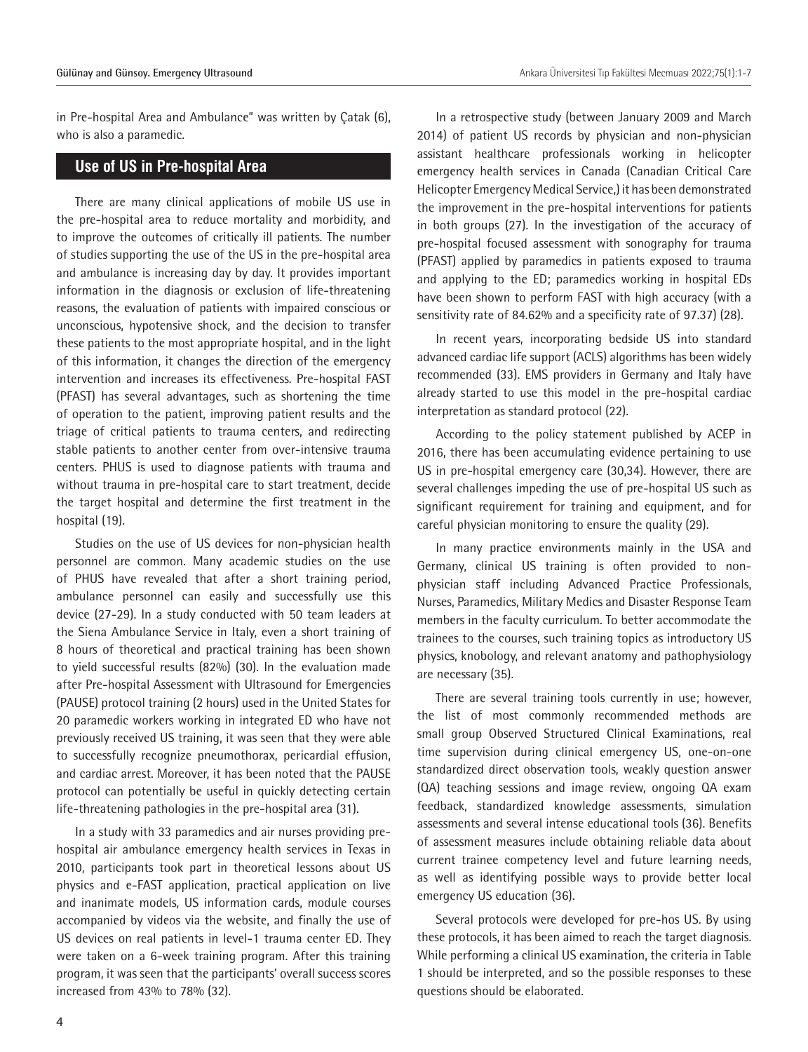Gülünay and Günsoy. Emergency Ultrasound **Ankara Üniversitesi Turbulus** Ankara Üniversitesi Tıp Fakültesi Mecmuası 2022;75(1):1-7

in Pre-hospital Area and Ambulance" was written by Çatak (6), who is also a paramedic.

#### **Use of US in Pre-hospital Area**

There are many clinical applications of mobile US use in the pre-hospital area to reduce mortality and morbidity, and to improve the outcomes of critically ill patients. The number of studies supporting the use of the US in the pre-hospital area and ambulance is increasing day by day. It provides important information in the diagnosis or exclusion of life-threatening reasons, the evaluation of patients with impaired conscious or unconscious, hypotensive shock, and the decision to transfer these patients to the most appropriate hospital, and in the light of this information, it changes the direction of the emergency intervention and increases its effectiveness. Pre-hospital FAST (PFAST) has several advantages, such as shortening the time of operation to the patient, improving patient results and the triage of critical patients to trauma centers, and redirecting stable patients to another center from over-intensive trauma centers. PHUS is used to diagnose patients with trauma and without trauma in pre-hospital care to start treatment, decide the target hospital and determine the first treatment in the hospital (19).

Studies on the use of US devices for non-physician health personnel are common. Many academic studies on the use of PHUS have revealed that after a short training period, ambulance personnel can easily and successfully use this device (27-29). In a study conducted with 50 team leaders at the Siena Ambulance Service in Italy, even a short training of 8 hours of theoretical and practical training has been shown to yield successful results (82%) (30). In the evaluation made after Pre-hospital Assessment with Ultrasound for Emergencies (PAUSE) protocol training (2 hours) used in the United States for 20 paramedic workers working in integrated ED who have not previously received US training, it was seen that they were able to successfully recognize pneumothorax, pericardial effusion, and cardiac arrest. Moreover, it has been noted that the PAUSE protocol can potentially be useful in quickly detecting certain life-threatening pathologies in the pre-hospital area (31).

In a study with 33 paramedics and air nurses providing prehospital air ambulance emergency health services in Texas in 2010, participants took part in theoretical lessons about US physics and e-FAST application, practical application on live and inanimate models, US information cards, module courses accompanied by videos via the website, and finally the use of US devices on real patients in level-1 trauma center ED. They were taken on a 6-week training program. After this training program, it was seen that the participants' overall success scores increased from 43% to 78% (32).

In a retrospective study (between January 2009 and March 2014) of patient US records by physician and non-physician assistant healthcare professionals working in helicopter emergency health services in Canada (Canadian Critical Care Helicopter Emergency Medical Service,) it has been demonstrated the improvement in the pre-hospital interventions for patients in both groups (27). In the investigation of the accuracy of pre-hospital focused assessment with sonography for trauma (PFAST) applied by paramedics in patients exposed to trauma and applying to the ED; paramedics working in hospital EDs have been shown to perform FAST with high accuracy (with a sensitivity rate of 84.62% and a specificity rate of 97.37) (28).

In recent years, incorporating bedside US into standard advanced cardiac life support (ACLS) algorithms has been widely recommended (33). EMS providers in Germany and Italy have already started to use this model in the pre-hospital cardiac interpretation as standard protocol (22).

According to the policy statement published by ACEP in 2016, there has been accumulating evidence pertaining to use US in pre-hospital emergency care (30,34). However, there are several challenges impeding the use of pre-hospital US such as significant requirement for training and equipment, and for careful physician monitoring to ensure the quality (29).

In many practice environments mainly in the USA and Germany, clinical US training is often provided to nonphysician staff including Advanced Practice Professionals, Nurses, Paramedics, Military Medics and Disaster Response Team members in the faculty curriculum. To better accommodate the trainees to the courses, such training topics as introductory US physics, knobology, and relevant anatomy and pathophysiology are necessary (35).

There are several training tools currently in use; however, the list of most commonly recommended methods are small group Observed Structured Clinical Examinations, real time supervision during clinical emergency US, one-on-one standardized direct observation tools, weakly question answer (QA) teaching sessions and image review, ongoing QA exam feedback, standardized knowledge assessments, simulation assessments and several intense educational tools (36). Benefits of assessment measures include obtaining reliable data about current trainee competency level and future learning needs, as well as identifying possible ways to provide better local emergency US education (36).

Several protocols were developed for pre-hos US. By using these protocols, it has been aimed to reach the target diagnosis. While performing a clinical US examination, the criteria in Table 1 should be interpreted, and so the possible responses to these questions should be elaborated.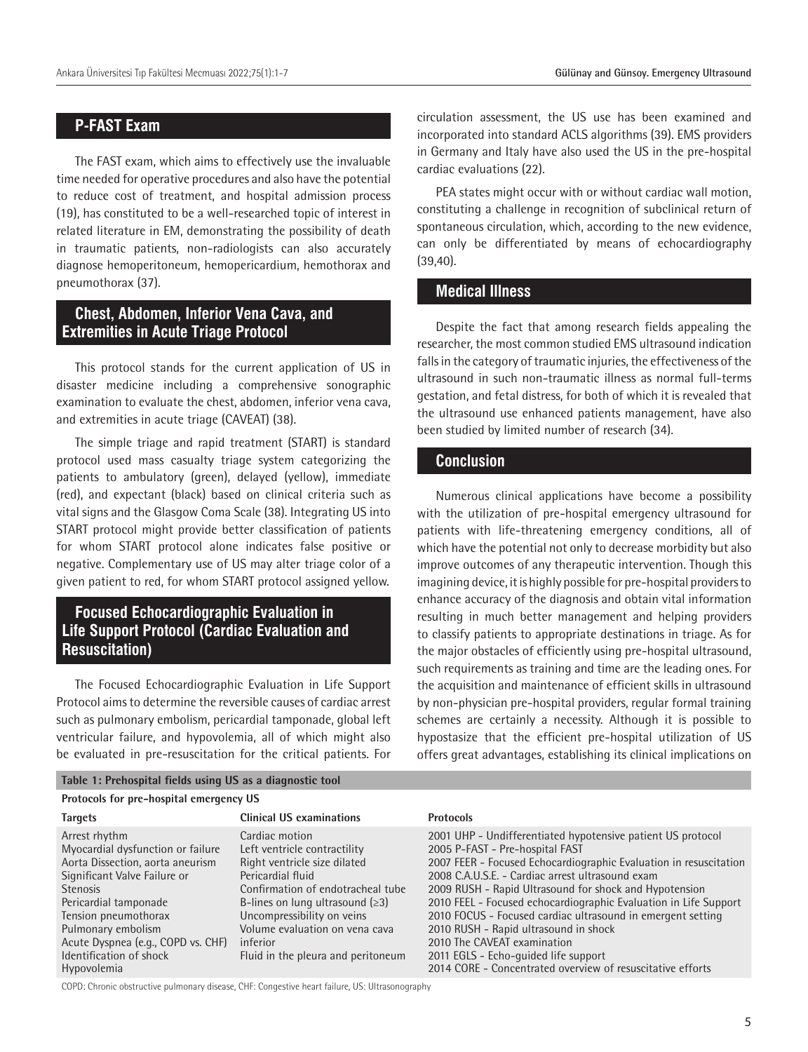#### **P-FAST Exam**

The FAST exam, which aims to effectively use the invaluable time needed for operative procedures and also have the potential to reduce cost of treatment, and hospital admission process (19), has constituted to be a well-researched topic of interest in related literature in EM, demonstrating the possibility of death in traumatic patients, non-radiologists can also accurately diagnose hemoperitoneum, hemopericardium, hemothorax and pneumothorax (37).

# **Chest, Abdomen, Inferior Vena Cava, and Extremities in Acute Triage Protocol**

This protocol stands for the current application of US in disaster medicine including a comprehensive sonographic examination to evaluate the chest, abdomen, inferior vena cava, and extremities in acute triage (CAVEAT) (38).

The simple triage and rapid treatment (START) is standard protocol used mass casualty triage system categorizing the patients to ambulatory (green), delayed (yellow), immediate (red), and expectant (black) based on clinical criteria such as vital signs and the Glasgow Coma Scale (38). Integrating US into START protocol might provide better classification of patients for whom START protocol alone indicates false positive or negative. Complementary use of US may alter triage color of a given patient to red, for whom START protocol assigned yellow.

# **Focused Echocardiographic Evaluation in Life Support Protocol (Cardiac Evaluation and Resuscitation)**

The Focused Echocardiographic Evaluation in Life Support Protocol aims to determine the reversible causes of cardiac arrest such as pulmonary embolism, pericardial tamponade, global left ventricular failure, and hypovolemia, all of which might also be evaluated in pre-resuscitation for the critical patients. For

#### **Table 1: Prehospital fields using US as a diagnostic tool**

#### **Protocols for pre-hospital emergency US**

circulation assessment, the US use has been examined and incorporated into standard ACLS algorithms (39). EMS providers in Germany and Italy have also used the US in the pre-hospital cardiac evaluations (22).

PEA states might occur with or without cardiac wall motion, constituting a challenge in recognition of subclinical return of spontaneous circulation, which, according to the new evidence, can only be differentiated by means of echocardiography (39,40).

#### **Medical Illness**

Despite the fact that among research fields appealing the researcher, the most common studied EMS ultrasound indication falls in the category of traumatic injuries, the effectiveness of the ultrasound in such non-traumatic illness as normal full-terms gestation, and fetal distress, for both of which it is revealed that the ultrasound use enhanced patients management, have also been studied by limited number of research (34).

#### **Conclusion**

Numerous clinical applications have become a possibility with the utilization of pre-hospital emergency ultrasound for patients with life-threatening emergency conditions, all of which have the potential not only to decrease morbidity but also improve outcomes of any therapeutic intervention. Though this imagining device, it is highly possible for pre-hospital providers to enhance accuracy of the diagnosis and obtain vital information resulting in much better management and helping providers to classify patients to appropriate destinations in triage. As for the major obstacles of efficiently using pre-hospital ultrasound, such requirements as training and time are the leading ones. For the acquisition and maintenance of efficient skills in ultrasound by non-physician pre-hospital providers, regular formal training schemes are certainly a necessity. Although it is possible to hypostasize that the efficient pre-hospital utilization of US offers great advantages, establishing its clinical implications on

| Protocols for pre-hospital emergency US                                                                                                                                                                                                                                                          |                                                                                                                                                                                                                                                                                                     |                                                                                                                                                                                                                                                                                                                                                                                                                                                                                                                                                                                                    |
|--------------------------------------------------------------------------------------------------------------------------------------------------------------------------------------------------------------------------------------------------------------------------------------------------|-----------------------------------------------------------------------------------------------------------------------------------------------------------------------------------------------------------------------------------------------------------------------------------------------------|----------------------------------------------------------------------------------------------------------------------------------------------------------------------------------------------------------------------------------------------------------------------------------------------------------------------------------------------------------------------------------------------------------------------------------------------------------------------------------------------------------------------------------------------------------------------------------------------------|
| <b>Targets</b>                                                                                                                                                                                                                                                                                   | <b>Clinical US examinations</b>                                                                                                                                                                                                                                                                     | <b>Protocols</b>                                                                                                                                                                                                                                                                                                                                                                                                                                                                                                                                                                                   |
| Arrest rhythm<br>Myocardial dysfunction or failure<br>Aorta Dissection, aorta aneurism<br>Significant Valve Failure or<br><b>Stenosis</b><br>Pericardial tamponade<br>Tension pneumothorax<br>Pulmonary embolism<br>Acute Dyspnea (e.g., COPD vs. CHF)<br>Identification of shock<br>Hypovolemia | Cardiac motion<br>Left ventricle contractility<br>Right ventricle size dilated<br>Pericardial fluid<br>Confirmation of endotracheal tube<br>B-lines on lung ultrasound $(\geq 3)$<br>Uncompressibility on veins<br>Volume evaluation on vena cava<br>inferior<br>Fluid in the pleura and peritoneum | 2001 UHP - Undifferentiated hypotensive patient US protocol<br>2005 P-FAST - Pre-hospital FAST<br>2007 FEER - Focused Echocardiographic Evaluation in resuscitation<br>2008 C.A.U.S.E. - Cardiac arrest ultrasound exam<br>2009 RUSH - Rapid Ultrasound for shock and Hypotension<br>2010 FEEL - Focused echocardiographic Evaluation in Life Support<br>2010 FOCUS - Focused cardiac ultrasound in emergent setting<br>2010 RUSH - Rapid ultrasound in shock<br>2010 The CAVEAT examination<br>2011 EGLS - Echo-guided life support<br>2014 CORE - Concentrated overview of resuscitative efforts |

COPD: Chronic obstructive pulmonary disease, CHF: Congestive heart failure, US: Ultrasonography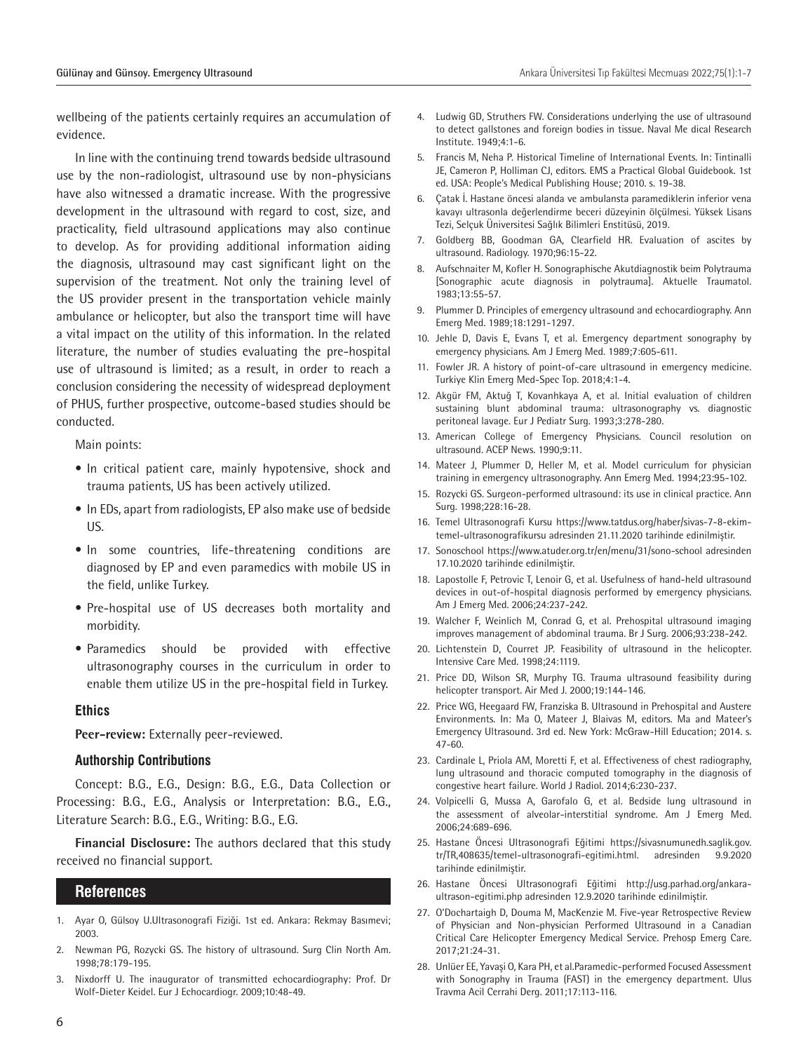wellbeing of the patients certainly requires an accumulation of evidence.

In line with the continuing trend towards bedside ultrasound use by the non-radiologist, ultrasound use by non-physicians have also witnessed a dramatic increase. With the progressive development in the ultrasound with regard to cost, size, and practicality, field ultrasound applications may also continue to develop. As for providing additional information aiding the diagnosis, ultrasound may cast significant light on the supervision of the treatment. Not only the training level of the US provider present in the transportation vehicle mainly ambulance or helicopter, but also the transport time will have a vital impact on the utility of this information. In the related literature, the number of studies evaluating the pre-hospital use of ultrasound is limited; as a result, in order to reach a conclusion considering the necessity of widespread deployment of PHUS, further prospective, outcome-based studies should be conducted.

Main points:

- In critical patient care, mainly hypotensive, shock and trauma patients, US has been actively utilized.
- In EDs, apart from radiologists, EP also make use of bedside US.
- In some countries, life-threatening conditions are diagnosed by EP and even paramedics with mobile US in the field, unlike Turkey.
- Pre-hospital use of US decreases both mortality and morbidity.
- Paramedics should be provided with effective ultrasonography courses in the curriculum in order to enable them utilize US in the pre-hospital field in Turkey.

#### **Ethics**

**Peer-review:** Externally peer-reviewed.

#### **Authorship Contributions**

Concept: B.G., E.G., Design: B.G., E.G., Data Collection or Processing: B.G., E.G., Analysis or Interpretation: B.G., E.G., Literature Search: B.G., E.G., Writing: B.G., E.G.

**Financial Disclosure:** The authors declared that this study received no financial support.

#### **References**

- 1. Ayar O, Gülsoy U.Ultrasonografi Fiziği. 1st ed. Ankara: Rekmay Basımevi; 2003.
- 2. Newman PG, Rozycki GS. The history of ultrasound. Surg Clin North Am. 1998;78:179-195.
- 3. Nixdorff U. The inaugurator of transmitted echocardiography: Prof. Dr Wolf-Dieter Keidel. Eur J Echocardiogr. 2009;10:48-49.
- 4. Ludwig GD, Struthers FW. Considerations underlying the use of ultrasound to detect gallstones and foreign bodies in tissue. Naval Me dical Research Institute. 1949;4:1-6.
- 5. Francis M, Neha P. Historical Timeline of International Events. In: Tintinalli JE, Cameron P, Holliman CJ, editors. EMS a Practical Global Guidebook. 1st ed. USA: People's Medical Publishing House; 2010. s. 19-38.
- 6. Çatak İ. Hastane öncesi alanda ve ambulansta paramediklerin inferior vena kavayı ultrasonla değerlendirme beceri düzeyinin ölçülmesi. Yüksek Lisans Tezi, Selçuk Üniversitesi Sağlık Bilimleri Enstitüsü, 2019.
- 7. Goldberg BB, Goodman GA, Clearfield HR. Evaluation of ascites by ultrasound. Radiology. 1970;96:15-22.
- 8. Aufschnaiter M, Kofler H. Sonographische Akutdiagnostik beim Polytrauma [Sonographic acute diagnosis in polytrauma]. Aktuelle Traumatol. 1983;13:55-57.
- 9. Plummer D. Principles of emergency ultrasound and echocardiography. Ann Emerg Med. 1989;18:1291-1297.
- 10. Jehle D, Davis E, Evans T, et al. Emergency department sonography by emergency physicians. Am J Emerg Med. 1989;7:605-611.
- 11. Fowler JR. A history of point-of-care ultrasound in emergency medicine. Turkiye Klin Emerg Med-Spec Top. 2018;4:1-4.
- 12. Akgür FM, Aktuğ T, Kovanhkaya A, et al. Initial evaluation of children sustaining blunt abdominal trauma: ultrasonography vs. diagnostic peritoneal lavage. Eur J Pediatr Surg. 1993;3:278-280.
- 13. American College of Emergency Physicians. Council resolution on ultrasound. ACEP News. 1990;9:11.
- 14. Mateer J, Plummer D, Heller M, et al. Model curriculum for physician training in emergency ultrasonography. Ann Emerg Med. 1994;23:95-102.
- 15. Rozycki GS. Surgeon-performed ultrasound: its use in clinical practice. Ann Surg. 1998;228:16-28.
- 16. Temel Ultrasonografi Kursu https://www.tatdus.org/haber/sivas-7-8-ekimtemel-ultrasonografikursu adresinden 21.11.2020 tarihinde edinilmiştir.
- 17. Sonoschool https://www.atuder.org.tr/en/menu/31/sono-school adresinden 17.10.2020 tarihinde edinilmiştir.
- 18. Lapostolle F, Petrovic T, Lenoir G, et al. Usefulness of hand-held ultrasound devices in out-of-hospital diagnosis performed by emergency physicians. Am J Emerg Med. 2006;24:237-242.
- 19. Walcher F, Weinlich M, Conrad G, et al. Prehospital ultrasound imaging improves management of abdominal trauma. Br J Surg. 2006;93:238-242.
- 20. Lichtenstein D, Courret JP. Feasibility of ultrasound in the helicopter. Intensive Care Med. 1998;24:1119.
- 21. Price DD, Wilson SR, Murphy TG. Trauma ultrasound feasibility during helicopter transport. Air Med J. 2000;19:144-146.
- 22. Price WG, Heegaard FW, Franziska B. Ultrasound in Prehospital and Austere Environments. In: Ma O, Mateer J, Blaivas M, editors. Ma and Mateer's Emergency Ultrasound. 3rd ed. New York: McGraw-Hill Education; 2014. s. 47-60.
- 23. Cardinale L, Priola AM, Moretti F, et al. Effectiveness of chest radiography, lung ultrasound and thoracic computed tomography in the diagnosis of congestive heart failure. World J Radiol. 2014;6:230-237.
- 24. Volpicelli G, Mussa A, Garofalo G, et al. Bedside lung ultrasound in the assessment of alveolar-interstitial syndrome. Am J Emerg Med. 2006;24:689-696.
- 25. Hastane Öncesi Ultrasonografi Eğitimi https://sivasnumunedh.saglik.gov. tr/TR,408635/temel-ultrasonografi-egitimi.html. adresinden 9.9.2020 tarihinde edinilmiştir.
- 26. Hastane Öncesi Ultrasonografi Eğitimi http://usg.parhad.org/ankaraultrason-egitimi.php adresinden 12.9.2020 tarihinde edinilmiştir.
- 27. O'Dochartaigh D, Douma M, MacKenzie M. Five-year Retrospective Review of Physician and Non-physician Performed Ultrasound in a Canadian Critical Care Helicopter Emergency Medical Service. Prehosp Emerg Care. 2017;21:24-31.
- 28. Unlüer EE, Yavaşi O, Kara PH, et al.Paramedic-performed Focused Assessment with Sonography in Trauma (FAST) in the emergency department. Ulus Travma Acil Cerrahi Derg. 2011;17:113-116.